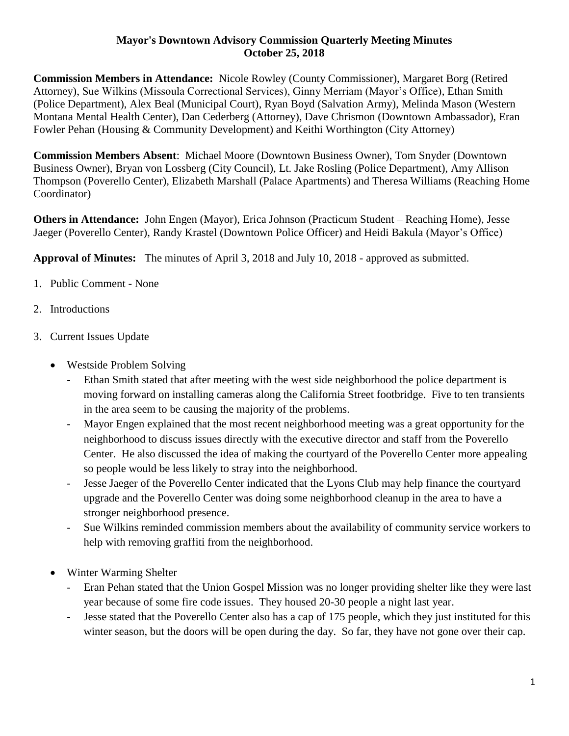## **Mayor's Downtown Advisory Commission Quarterly Meeting Minutes October 25, 2018**

**Commission Members in Attendance:** Nicole Rowley (County Commissioner), Margaret Borg (Retired Attorney), Sue Wilkins (Missoula Correctional Services), Ginny Merriam (Mayor's Office), Ethan Smith (Police Department), Alex Beal (Municipal Court), Ryan Boyd (Salvation Army), Melinda Mason (Western Montana Mental Health Center), Dan Cederberg (Attorney), Dave Chrismon (Downtown Ambassador), Eran Fowler Pehan (Housing & Community Development) and Keithi Worthington (City Attorney)

**Commission Members Absent**: Michael Moore (Downtown Business Owner), Tom Snyder (Downtown Business Owner), Bryan von Lossberg (City Council), Lt. Jake Rosling (Police Department), Amy Allison Thompson (Poverello Center), Elizabeth Marshall (Palace Apartments) and Theresa Williams (Reaching Home Coordinator)

**Others in Attendance:** John Engen (Mayor), Erica Johnson (Practicum Student – Reaching Home), Jesse Jaeger (Poverello Center), Randy Krastel (Downtown Police Officer) and Heidi Bakula (Mayor's Office)

**Approval of Minutes:** The minutes of April 3, 2018 and July 10, 2018 - approved as submitted.

- 1. Public Comment None
- 2. Introductions
- 3. Current Issues Update
	- Westside Problem Solving
		- Ethan Smith stated that after meeting with the west side neighborhood the police department is moving forward on installing cameras along the California Street footbridge. Five to ten transients in the area seem to be causing the majority of the problems.
		- Mayor Engen explained that the most recent neighborhood meeting was a great opportunity for the neighborhood to discuss issues directly with the executive director and staff from the Poverello Center. He also discussed the idea of making the courtyard of the Poverello Center more appealing so people would be less likely to stray into the neighborhood.
		- Jesse Jaeger of the Poverello Center indicated that the Lyons Club may help finance the courtyard upgrade and the Poverello Center was doing some neighborhood cleanup in the area to have a stronger neighborhood presence.
		- Sue Wilkins reminded commission members about the availability of community service workers to help with removing graffiti from the neighborhood.
	- Winter Warming Shelter
		- Eran Pehan stated that the Union Gospel Mission was no longer providing shelter like they were last year because of some fire code issues. They housed 20-30 people a night last year.
		- Jesse stated that the Poverello Center also has a cap of 175 people, which they just instituted for this winter season, but the doors will be open during the day. So far, they have not gone over their cap.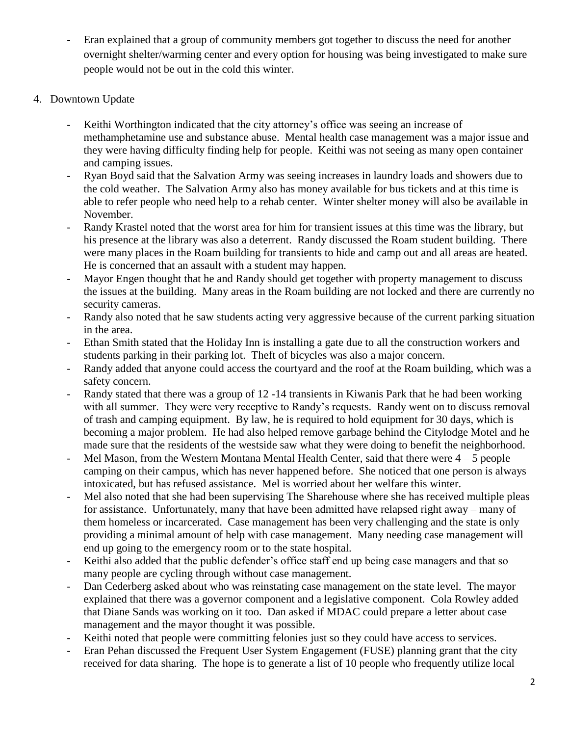- Eran explained that a group of community members got together to discuss the need for another overnight shelter/warming center and every option for housing was being investigated to make sure people would not be out in the cold this winter.
- 4. Downtown Update
	- Keithi Worthington indicated that the city attorney's office was seeing an increase of methamphetamine use and substance abuse. Mental health case management was a major issue and they were having difficulty finding help for people. Keithi was not seeing as many open container and camping issues.
	- Ryan Boyd said that the Salvation Army was seeing increases in laundry loads and showers due to the cold weather. The Salvation Army also has money available for bus tickets and at this time is able to refer people who need help to a rehab center. Winter shelter money will also be available in November.
	- Randy Krastel noted that the worst area for him for transient issues at this time was the library, but his presence at the library was also a deterrent. Randy discussed the Roam student building. There were many places in the Roam building for transients to hide and camp out and all areas are heated. He is concerned that an assault with a student may happen.
	- Mayor Engen thought that he and Randy should get together with property management to discuss the issues at the building. Many areas in the Roam building are not locked and there are currently no security cameras.
	- Randy also noted that he saw students acting very aggressive because of the current parking situation in the area.
	- Ethan Smith stated that the Holiday Inn is installing a gate due to all the construction workers and students parking in their parking lot. Theft of bicycles was also a major concern.
	- Randy added that anyone could access the courtyard and the roof at the Roam building, which was a safety concern.
	- Randy stated that there was a group of 12 -14 transients in Kiwanis Park that he had been working with all summer. They were very receptive to Randy's requests. Randy went on to discuss removal of trash and camping equipment. By law, he is required to hold equipment for 30 days, which is becoming a major problem. He had also helped remove garbage behind the Citylodge Motel and he made sure that the residents of the westside saw what they were doing to benefit the neighborhood.
	- Mel Mason, from the Western Montana Mental Health Center, said that there were  $4-5$  people camping on their campus, which has never happened before. She noticed that one person is always intoxicated, but has refused assistance. Mel is worried about her welfare this winter.
	- Mel also noted that she had been supervising The Sharehouse where she has received multiple pleas for assistance. Unfortunately, many that have been admitted have relapsed right away – many of them homeless or incarcerated. Case management has been very challenging and the state is only providing a minimal amount of help with case management. Many needing case management will end up going to the emergency room or to the state hospital.
	- Keithi also added that the public defender's office staff end up being case managers and that so many people are cycling through without case management.
	- Dan Cederberg asked about who was reinstating case management on the state level. The mayor explained that there was a governor component and a legislative component. Cola Rowley added that Diane Sands was working on it too. Dan asked if MDAC could prepare a letter about case management and the mayor thought it was possible.
	- Keithi noted that people were committing felonies just so they could have access to services.
	- Eran Pehan discussed the Frequent User System Engagement (FUSE) planning grant that the city received for data sharing. The hope is to generate a list of 10 people who frequently utilize local